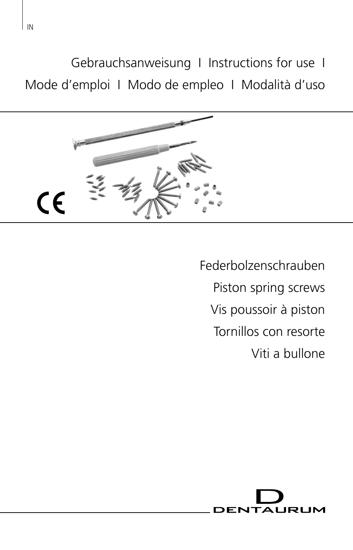Gebrauchsanweisung I Instructions for use I Mode d'emploi I Modo de empleo I Modalità d'uso



Federbolzenschrauben Piston spring screws Vis poussoir à piston Tornillos con resorte Viti a bullone

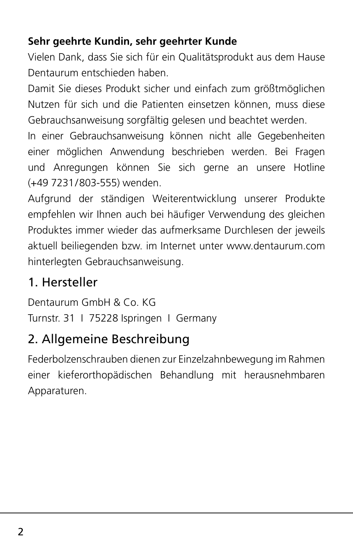#### **Sehr geehrte Kundin, sehr geehrter Kunde**

Vielen Dank, dass Sie sich für ein Qualitätsprodukt aus dem Hause Dentaurum entschieden haben.

Damit Sie dieses Produkt sicher und einfach zum größtmöglichen Nutzen für sich und die Patienten einsetzen können, muss diese Gebrauchsanweisung sorgfältig gelesen und beachtet werden.

In einer Gebrauchsanweisung können nicht alle Gegebenheiten einer möglichen Anwendung beschrieben werden. Bei Fragen und Anregungen können Sie sich gerne an unsere Hotline (+49 7231/803-555) wenden.

Aufgrund der ständigen Weiterentwicklung unserer Produkte empfehlen wir Ihnen auch bei häufiger Verwendung des gleichen Produktes immer wieder das aufmerksame Durchlesen der jeweils aktuell beiliegenden bzw. im Internet unter www.dentaurum.com hinterlegten Gebrauchsanweisung.

### 1. Hersteller

Dentaurum GmbH & Co. KG Turnstr. 31 I 75228 Ispringen I Germany

### 2. Allgemeine Beschreibung

Federbolzenschrauben dienen zur Einzelzahnbewegung im Rahmen einer kieferorthopädischen Behandlung mit herausnehmbaren Apparaturen.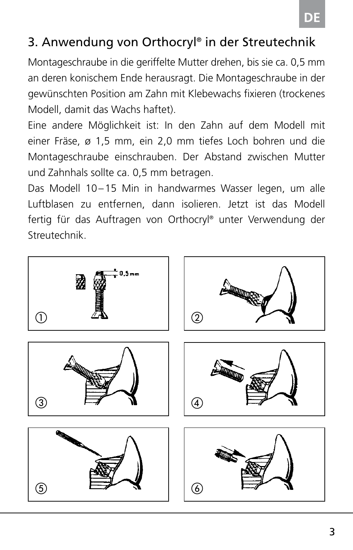### 3. Anwendung von Orthocryl® in der Streutechnik

Montageschraube in die geriffelte Mutter drehen, bis sie ca. 0,5 mm an deren konischem Ende herausragt. Die Montageschraube in der gewünschten Position am Zahn mit Klebewachs fixieren (trockenes Modell, damit das Wachs haftet).

Eine andere Möglichkeit ist: In den Zahn auf dem Modell mit einer Fräse, ø 1,5 mm, ein 2,0 mm tiefes Loch bohren und die Montageschraube einschrauben. Der Abstand zwischen Mutter und Zahnhals sollte ca. 0,5 mm betragen.

Das Modell 10–15 Min in handwarmes Wasser legen, um alle Luftblasen zu entfernen, dann isolieren. Jetzt ist das Modell fertig für das Auftragen von Orthocryl® unter Verwendung der Streutechnik.

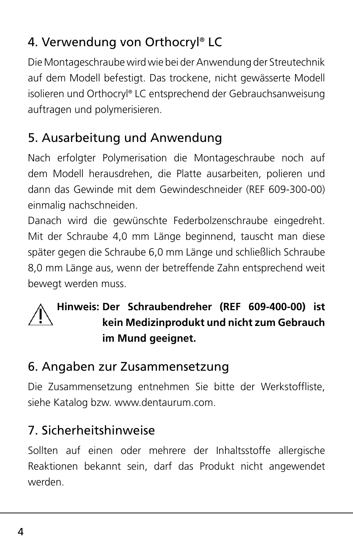# 4. Verwendung von Orthocryl® LC

Die Montageschraube wird wie bei der Anwendung der Streutechnik auf dem Modell befestigt. Das trockene, nicht gewässerte Modell isolieren und Orthocryl® LC entsprechend der Gebrauchsanweisung auftragen und polymerisieren.

# 5. Ausarbeitung und Anwendung

Nach erfolgter Polymerisation die Montageschraube noch auf dem Modell herausdrehen, die Platte ausarbeiten, polieren und dann das Gewinde mit dem Gewindeschneider (REF 609-300-00) einmalig nachschneiden.

Danach wird die gewünschte Federbolzenschraube eingedreht. Mit der Schraube 4,0 mm Länge beginnend, tauscht man diese später gegen die Schraube 6,0 mm Länge und schließlich Schraube 8,0 mm Länge aus, wenn der betreffende Zahn entsprechend weit bewegt werden muss.

#### **Hinweis: Der Schraubendreher (REF 609-400-00) ist kein Medizinprodukt und nicht zum Gebrauch im Mund geeignet.**

### 6. Angaben zur Zusammensetzung

Die Zusammensetzung entnehmen Sie bitte der Werkstoffliste, siehe Katalog bzw. www.dentaurum.com.

## 7. Sicherheitshinweise

Sollten auf einen oder mehrere der Inhaltsstoffe allergische Reaktionen bekannt sein, darf das Produkt nicht angewendet werden.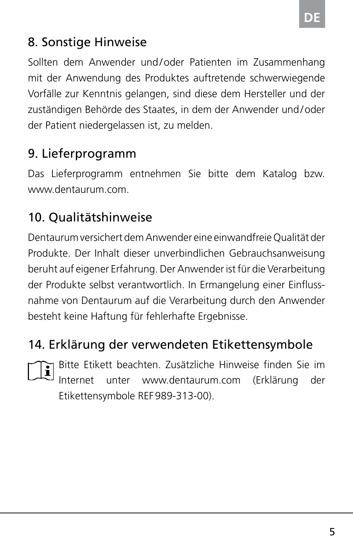#### 8. Sonstige Hinweise

Sollten dem Anwender und/oder Patienten im Zusammenhang mit der Anwendung des Produktes auftretende schwerwiegende Vorfälle zur Kenntnis gelangen, sind diese dem Hersteller und der zuständigen Behörde des Staates, in dem der Anwender und/oder der Patient niedergelassen ist, zu melden.

#### 9. Lieferprogramm

Das Lieferprogramm entnehmen Sie bitte dem Katalog bzw. www.dentaurum.com.

#### 10. Qualitätshinweise

Dentaurum versichert dem Anwender eine einwandfreie Qualität der Produkte. Der Inhalt dieser unverbindlichen Gebrauchsanweisung beruht auf eigener Erfahrung. Der Anwender ist für die Verarbeitung der Produkte selbst verantwortlich. In Ermangelung einer Einflussnahme von Dentaurum auf die Verarbeitung durch den Anwender besteht keine Haftung für fehlerhafte Ergebnisse.

#### 14. Erklärung der verwendeten Etikettensymbole



Bitte Etikett beachten. Zusätzliche Hinweise finden Sie im Internet unter www.dentaurum.com (Erklärung der Etikettensymbole REF989-313-00).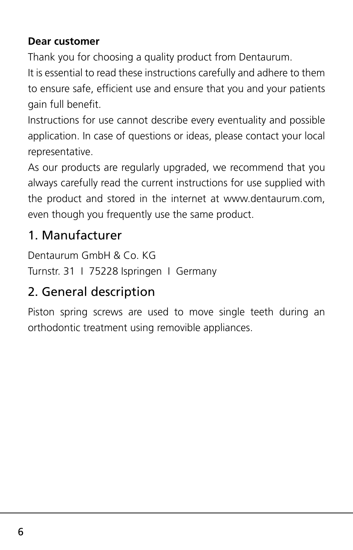#### **Dear customer**

Thank you for choosing a quality product from Dentaurum.

It is essential to read these instructions carefully and adhere to them to ensure safe, efficient use and ensure that you and your patients gain full benefit.

Instructions for use cannot describe every eventuality and possible application. In case of questions or ideas, please contact your local representative.

As our products are regularly upgraded, we recommend that you always carefully read the current instructions for use supplied with the product and stored in the internet at www.dentaurum.com, even though you frequently use the same product.

#### 1. Manufacturer

Dentaurum GmbH & Co. KG Turnstr. 31 I 75228 Ispringen I Germany

### 2. General description

Piston spring screws are used to move single teeth during an orthodontic treatment using removible appliances.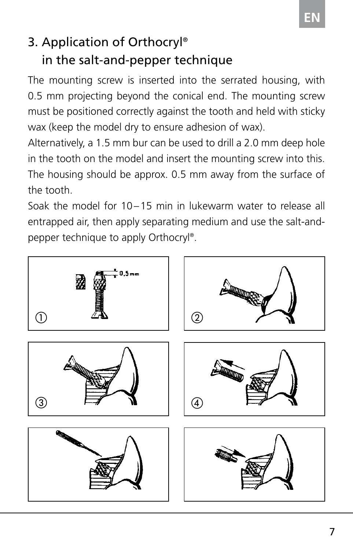# 3. Application of Orthocryl® in the salt-and-pepper technique

The mounting screw is inserted into the serrated housing, with 0.5 mm projecting beyond the conical end. The mounting screw must be positioned correctly against the tooth and held with sticky wax (keep the model dry to ensure adhesion of wax).

Alternatively, a 1.5 mm bur can be used to drill a 2.0 mm deep hole in the tooth on the model and insert the mounting screw into this. The housing should be approx. 0.5 mm away from the surface of the tooth.

Soak the model for 10–15 min in lukewarm water to release all entrapped air, then apply separating medium and use the salt-andpepper technique to apply Orthocryl®.

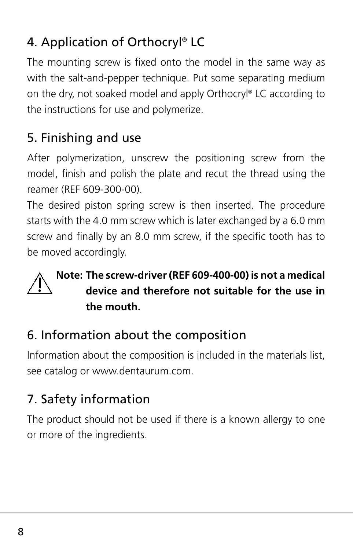# 4. Application of Orthocryl® LC

The mounting screw is fixed onto the model in the same way as with the salt-and-pepper technique. Put some separating medium on the dry, not soaked model and apply Orthocryl® LC according to the instructions for use and polymerize.

# 5. Finishing and use

After polymerization, unscrew the positioning screw from the model, finish and polish the plate and recut the thread using the reamer (REF 609-300-00).

The desired piston spring screw is then inserted. The procedure starts with the 4.0 mm screw which is later exchanged by a 6.0 mm screw and finally by an 8.0 mm screw, if the specific tooth has to be moved accordingly.

#### **Note: The screw-driver (REF 609-400-00) is not a medical device and therefore not suitable for the use in the mouth.**

### 6. Information about the composition

Information about the composition is included in the materials list, see catalog or www.dentaurum.com.

## 7. Safety information

The product should not be used if there is a known allergy to one or more of the ingredients.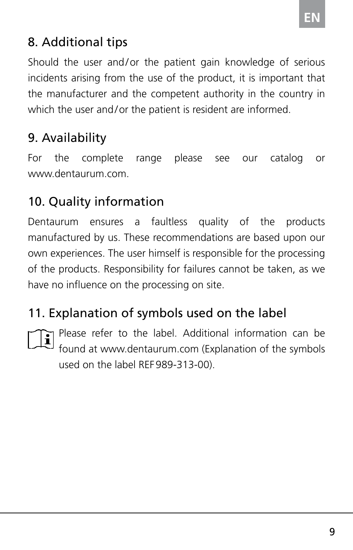#### 8. Additional tips

Should the user and/or the patient gain knowledge of serious incidents arising from the use of the product, it is important that the manufacturer and the competent authority in the country in which the user and/or the patient is resident are informed.

### 9. Availability

For the complete range please see our catalog or www.dentaurum.com.

### 10. Quality information

Dentaurum ensures a faultless quality of the products manufactured by us. These recommendations are based upon our own experiences. The user himself is responsible for the processing of the products. Responsibility for failures cannot be taken, as we have no influence on the processing on site.

## 11. Explanation of symbols used on the label



Please refer to the label. Additional information can be found at www.dentaurum.com (Explanation of the symbols used on the label REF989-313-00).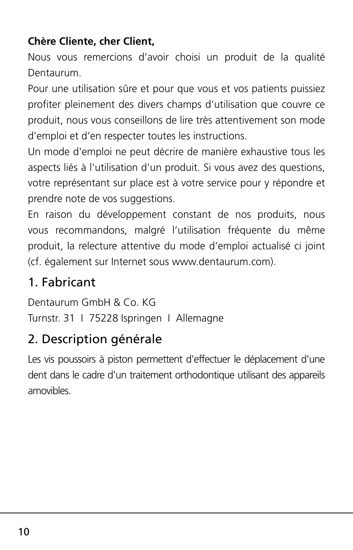#### **Chère Cliente, cher Client,**

Nous vous remercions d'avoir choisi un produit de la qualité Dentaurum.

Pour une utilisation sûre et pour que vous et vos patients puissiez profiter pleinement des divers champs d'utilisation que couvre ce produit, nous vous conseillons de lire très attentivement son mode d'emploi et d'en respecter toutes les instructions.

Un mode d'emploi ne peut décrire de manière exhaustive tous les aspects liés à l'utilisation d'un produit. Si vous avez des questions, votre représentant sur place est à votre service pour y répondre et prendre note de vos suggestions.

En raison du développement constant de nos produits, nous vous recommandons, malgré l'utilisation fréquente du même produit, la relecture attentive du mode d'emploi actualisé ci joint (cf. également sur Internet sous www.dentaurum.com).

### 1. Fabricant

Dentaurum GmbH & Co. KG Turnstr. 31 I 75228 Ispringen I Allemagne

### 2. Description générale

Les vis poussoirs à piston permettent d'effectuer le déplacement d'une dent dans le cadre d'un traitement orthodontique utilisant des appareils amovibles.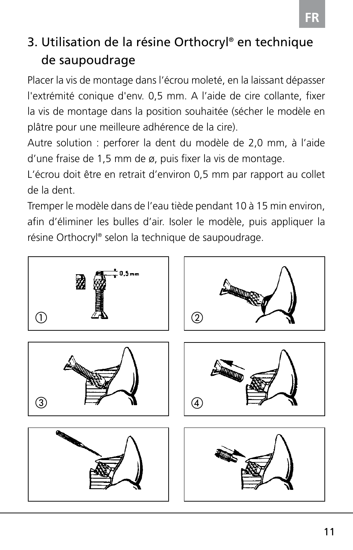### 3. Utilisation de la résine Orthocryl® en technique de saupoudrage

Placer la vis de montage dans l'écrou moleté, en la laissant dépasser l'extrémité conique d'env. 0,5 mm. A l'aide de cire collante, fixer la vis de montage dans la position souhaitée (sécher le modèle en plâtre pour une meilleure adhérence de la cire).

Autre solution : perforer la dent du modèle de 2,0 mm, à l'aide d'une fraise de 1,5 mm de ø, puis fixer la vis de montage.

L'écrou doit être en retrait d'environ 0,5 mm par rapport au collet de la dent.

Tremper le modèle dans de l'eau tiède pendant 10 à 15 min environ, afin d'éliminer les bulles d'air. Isoler le modèle, puis appliquer la résine Orthocryl® selon la technique de saupoudrage.

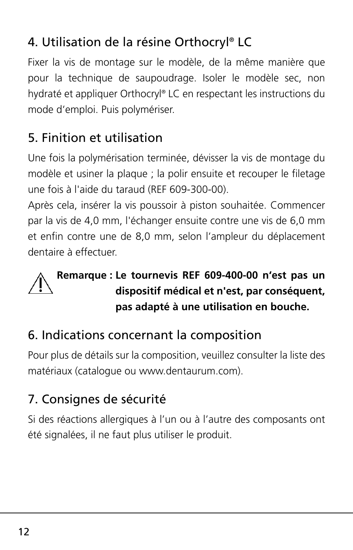### 4. Utilisation de la résine Orthocryl® LC

Fixer la vis de montage sur le modèle, de la même manière que pour la technique de saupoudrage. Isoler le modèle sec, non hydraté et appliquer Orthocryl® LC en respectant les instructions du mode d'emploi. Puis polymériser.

# 5. Finition et utilisation

Une fois la polymérisation terminée, dévisser la vis de montage du modèle et usiner la plaque ; la polir ensuite et recouper le filetage une fois à l'aide du taraud (REF 609-300-00).

Après cela, insérer la vis poussoir à piston souhaitée. Commencer par la vis de 4,0 mm, l'échanger ensuite contre une vis de 6,0 mm et enfin contre une de 8,0 mm, selon l'ampleur du déplacement dentaire à effectuer.

#### **Remarque : Le tournevis REF 609-400-00 n'est pas un dispositif médical et n'est, par conséquent, pas adapté à une utilisation en bouche.**

### 6. Indications concernant la composition

Pour plus de détails sur la composition, veuillez consulter la liste des matériaux (catalogue ou www.dentaurum.com).

## 7. Consignes de sécurité

Si des réactions allergiques à l'un ou à l'autre des composants ont été signalées, il ne faut plus utiliser le produit.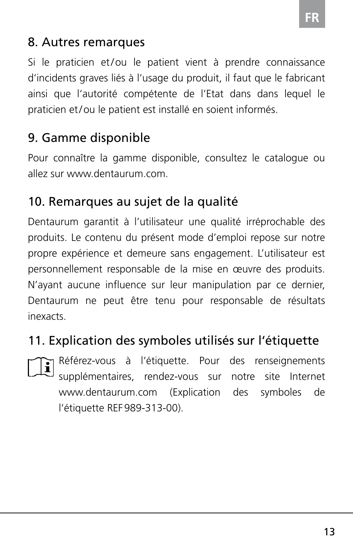#### 8. Autres remarques

Si le praticien et/ou le patient vient à prendre connaissance d'incidents graves liés à l'usage du produit, il faut que le fabricant ainsi que l'autorité compétente de l'Etat dans dans lequel le praticien et/ou le patient est installé en soient informés.

#### 9. Gamme disponible

Pour connaître la gamme disponible, consultez le catalogue ou allez sur www.dentaurum.com.

#### 10. Remarques au sujet de la qualité

Dentaurum garantit à l'utilisateur une qualité irréprochable des produits. Le contenu du présent mode d'emploi repose sur notre propre expérience et demeure sans engagement. L'utilisateur est personnellement responsable de la mise en œuvre des produits. N'ayant aucune influence sur leur manipulation par ce dernier, Dentaurum ne peut être tenu pour responsable de résultats inexacts.

#### 11. Explication des symboles utilisés sur l'étiquette

Référez-vous à l'étiquette. Pour des renseignements supplémentaires, rendez-vous sur notre site Internet www.dentaurum.com (Explication des symboles de l'étiquette REF989-313-00).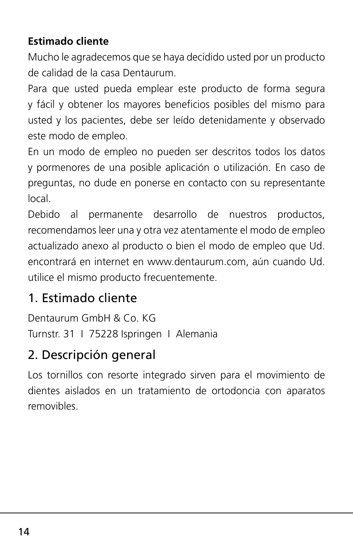#### **Estimado cliente**

Mucho le agradecemos que se haya decidido usted por un producto de calidad de la casa Dentaurum.

Para que usted pueda emplear este producto de forma segura y fácil y obtener los mayores beneficios posibles del mismo para usted y los pacientes, debe ser leído detenidamente y observado este modo de empleo.

En un modo de empleo no pueden ser descritos todos los datos y pormenores de una posible aplicación o utilización. En caso de preguntas, no dude en ponerse en contacto con su representante local.

Debido al permanente desarrollo de nuestros productos, recomendamos leer una y otra vez atentamente el modo de empleo actualizado anexo al producto o bien el modo de empleo que Ud. encontrará en internet en www.dentaurum.com, aún cuando Ud. utilice el mismo producto frecuentemente.

### 1. Estimado cliente

Dentaurum GmbH & Co. KG Turnstr. 31 I 75228 Ispringen I Alemania

### 2. Descripción general

Los tornillos con resorte integrado sirven para el movimiento de dientes aislados en un tratamiento de ortodoncia con aparatos removibles.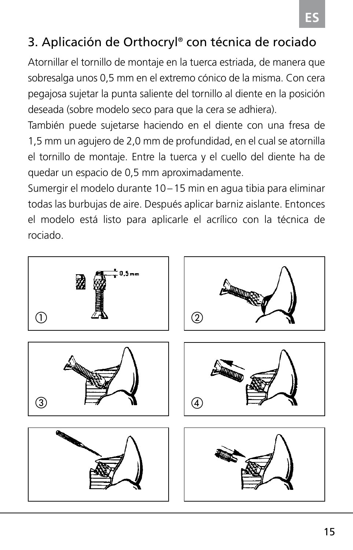### 3. Aplicación de Orthocryl® con técnica de rociado

Atornillar el tornillo de montaje en la tuerca estriada, de manera que sobresalga unos 0,5 mm en el extremo cónico de la misma. Con cera pegajosa sujetar la punta saliente del tornillo al diente en la posición deseada (sobre modelo seco para que la cera se adhiera).

También puede sujetarse haciendo en el diente con una fresa de 1,5 mm un agujero de 2,0 mm de profundidad, en el cual se atornilla el tornillo de montaje. Entre la tuerca y el cuello del diente ha de quedar un espacio de 0,5 mm aproximadamente.

Sumergir el modelo durante 10–15 min en agua tibia para eliminar todas las burbujas de aire. Después aplicar barniz aislante. Entonces el modelo está listo para aplicarle el acrílico con la técnica de rociado.

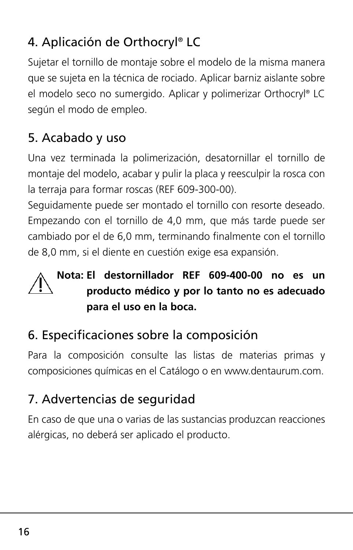## 4. Aplicación de Orthocryl® LC

Sujetar el tornillo de montaje sobre el modelo de la misma manera que se sujeta en la técnica de rociado. Aplicar barniz aislante sobre el modelo seco no sumergido. Aplicar y polimerizar Orthocryl® LC según el modo de empleo.

### 5. Acabado y uso

Una vez terminada la polimerización, desatornillar el tornillo de montaje del modelo, acabar y pulir la placa y reesculpir la rosca con la terraja para formar roscas (REF 609-300-00).

Seguidamente puede ser montado el tornillo con resorte deseado. Empezando con el tornillo de 4,0 mm, que más tarde puede ser cambiado por el de 6,0 mm, terminando finalmente con el tornillo de 8,0 mm, si el diente en cuestión exige esa expansión.

#### **Nota: El destornillador REF 609-400-00 no es un producto médico y por lo tanto no es adecuado para el uso en la boca.**

### 6. Especificaciones sobre la composición

Para la composición consulte las listas de materias primas y composiciones químicas en el Catálogo o en www.dentaurum.com.

### 7. Advertencias de seguridad

En caso de que una o varias de las sustancias produzcan reacciones alérgicas, no deberá ser aplicado el producto.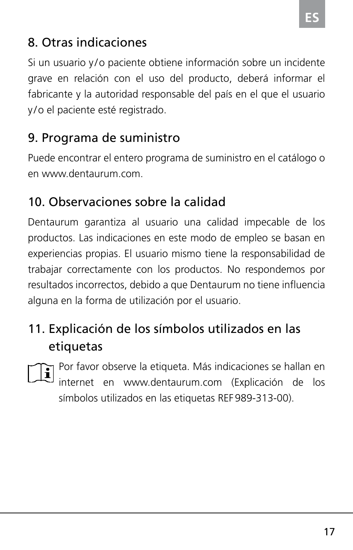#### 8. Otras indicaciones

Si un usuario y/o paciente obtiene información sobre un incidente grave en relación con el uso del producto, deberá informar el fabricante y la autoridad responsable del país en el que el usuario y /o el paciente esté registrado.

### 9. Programa de suministro

Puede encontrar el entero programa de suministro en el catálogo o en www.dentaurum.com.

#### 10. Observaciones sobre la calidad

Dentaurum garantiza al usuario una calidad impecable de los productos. Las indicaciones en este modo de empleo se basan en experiencias propias. El usuario mismo tiene la responsabilidad de trabajar correctamente con los productos. No respondemos por resultados incorrectos, debido a que Dentaurum no tiene influencia alguna en la forma de utilización por el usuario.

### 11. Explicación de los símbolos utilizados en las etiquetas



Por favor observe la etiqueta. Más indicaciones se hallan en internet en www.dentaurum.com (Explicación de los símbolos utilizados en las etiquetas REF989-313-00).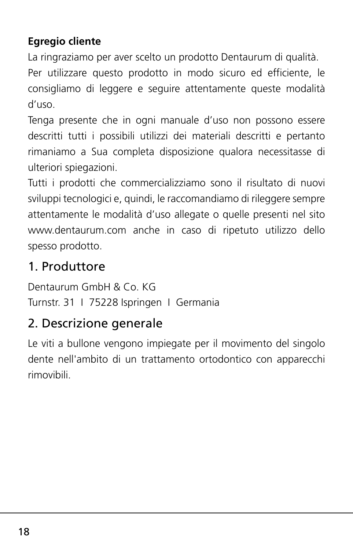#### **Egregio cliente**

La ringraziamo per aver scelto un prodotto Dentaurum di qualità.

Per utilizzare questo prodotto in modo sicuro ed efficiente, le consigliamo di leggere e seguire attentamente queste modalità d'uso.

Tenga presente che in ogni manuale d'uso non possono essere descritti tutti i possibili utilizzi dei materiali descritti e pertanto rimaniamo a Sua completa disposizione qualora necessitasse di ulteriori spiegazioni.

Tutti i prodotti che commercializziamo sono il risultato di nuovi sviluppi tecnologici e, quindi, le raccomandiamo di rileggere sempre attentamente le modalità d'uso allegate o quelle presenti nel sito www.dentaurum.com anche in caso di ripetuto utilizzo dello spesso prodotto.

### 1. Produttore

Dentaurum GmbH & Co. KG Turnstr. 31 I 75228 Ispringen I Germania

#### 2. Descrizione generale

Le viti a bullone vengono impiegate per il movimento del singolo dente nell'ambito di un trattamento ortodontico con apparecchi rimovibili.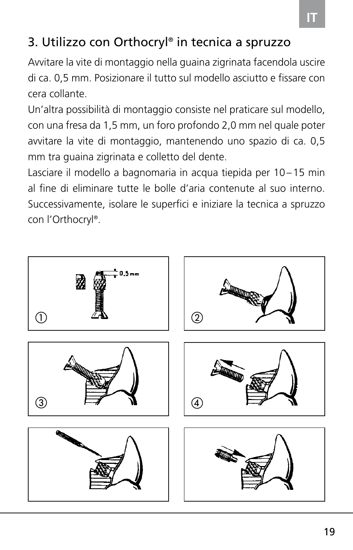### 3. Utilizzo con Orthocryl® in tecnica a spruzzo

Avvitare la vite di montaggio nella guaina zigrinata facendola uscire di ca. 0,5 mm. Posizionare il tutto sul modello asciutto e fissare con cera collante.

Un'altra possibilità di montaggio consiste nel praticare sul modello, con una fresa da 1,5 mm, un foro profondo 2,0 mm nel quale poter avvitare la vite di montaggio, mantenendo uno spazio di ca. 0,5 mm tra guaina zigrinata e colletto del dente.

Lasciare il modello a bagnomaria in acqua tiepida per 10–15 min al fine di eliminare tutte le bolle d'aria contenute al suo interno. Successivamente, isolare le superfici e iniziare la tecnica a spruzzo con l'Orthocryl®.

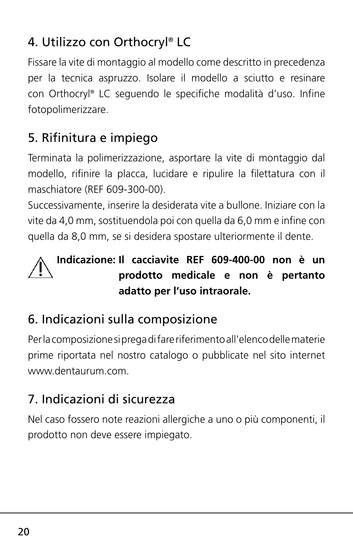# 4. Utilizzo con Orthocryl® LC

Fissare la vite di montaggio al modello come descritto in precedenza per la tecnica aspruzzo. Isolare il modello a sciutto e resinare con Orthocryl® LC seguendo le specifiche modalità d'uso. Infine fotopolimerizzare.

### 5. Rifinitura e impiego

Terminata la polimerizzazione, asportare la vite di montaggio dal modello, rifinire la placca, lucidare e ripulire la filettatura con il maschiatore (REF 609-300-00).

Successivamente, inserire la desiderata vite a bullone. Iniziare con la vite da 4,0 mm, sostituendola poi con quella da 6,0 mm e infine con quella da 8,0 mm, se si desidera spostare ulteriormente il dente.

#### **Indicazione: Il cacciavite REF 609-400-00 non è un prodotto medicale e non è pertanto adatto per l'uso intraorale.**

### 6. Indicazioni sulla composizione

Per la composizione si prega di fare riferimento all'elenco delle materie prime riportata nel nostro catalogo o pubblicate nel sito internet www.dentaurum.com.

### 7. Indicazioni di sicurezza

Nel caso fossero note reazioni allergiche a uno o più componenti, il prodotto non deve essere impiegato.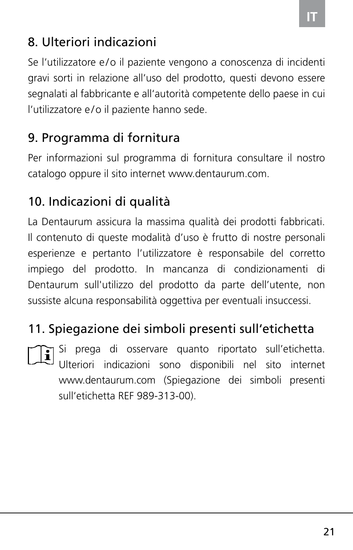### 8. Ulteriori indicazioni

Se l'utilizzatore e/o il paziente vengono a conoscenza di incidenti gravi sorti in relazione all'uso del prodotto, questi devono essere segnalati al fabbricante e all'autorità competente dello paese in cui l'utilizzatore e /o il paziente hanno sede.

### 9. Programma di fornitura

Per informazioni sul programma di fornitura consultare il nostro catalogo oppure il sito internet www.dentaurum.com.

### 10. Indicazioni di qualità

La Dentaurum assicura la massima qualità dei prodotti fabbricati. Il contenuto di queste modalità d'uso è frutto di nostre personali esperienze e pertanto l'utilizzatore è responsabile del corretto impiego del prodotto. In mancanza di condizionamenti di Dentaurum sull'utilizzo del prodotto da parte dell'utente, non sussiste alcuna responsabilità oggettiva per eventuali insuccessi.

### 11. Spiegazione dei simboli presenti sull'etichetta

Si prega di osservare quanto riportato sull'etichetta. Ulteriori indicazioni sono disponibili nel sito internet www.dentaurum.com (Spiegazione dei simboli presenti sull'etichetta REF 989-313-00).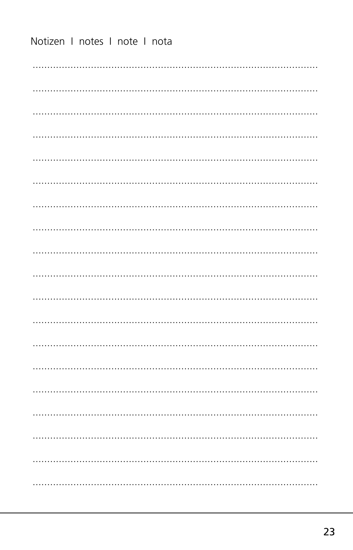Notizen I notes I note I nota